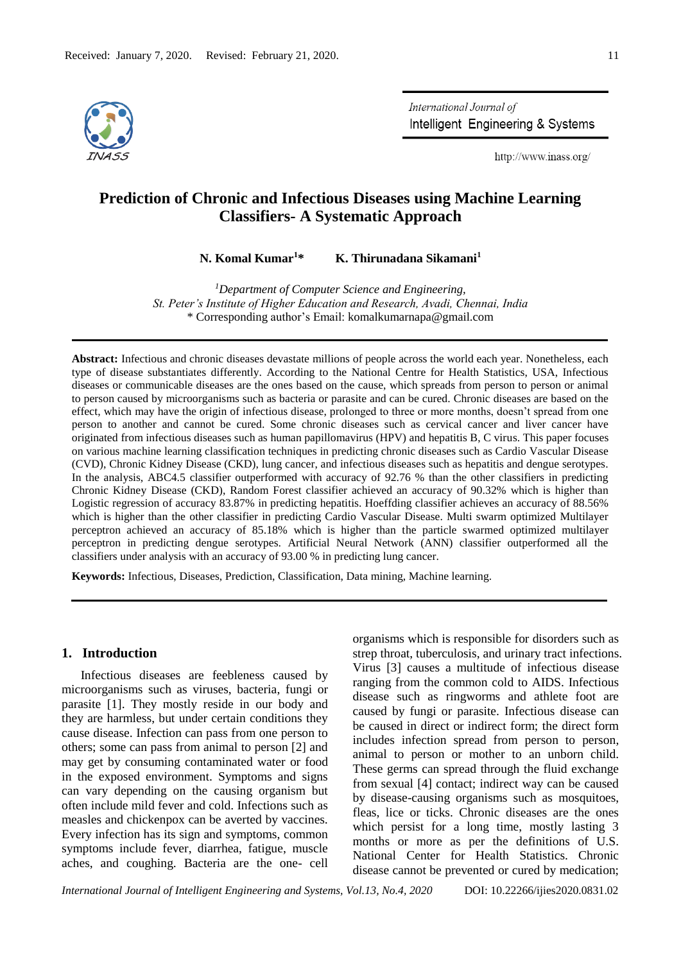

International Journal of Intelligent Engineering & Systems

http://www.inass.org/

# **Prediction of Chronic and Infectious Diseases using Machine Learning Classifiers- A Systematic Approach**

**N. Komal Kumar<sup>1</sup>\* K. Thirunadana Sikamani<sup>1</sup>**

*<sup>1</sup>Department of Computer Science and Engineering, St. Peter's Institute of Higher Education and Research, Avadi, Chennai, India* \* Corresponding author's Email: komalkumarnapa@gmail.com

**Abstract:** Infectious and chronic diseases devastate millions of people across the world each year. Nonetheless, each type of disease substantiates differently. According to the National Centre for Health Statistics, USA, Infectious diseases or communicable diseases are the ones based on the cause, which spreads from person to person or animal to person caused by microorganisms such as bacteria or parasite and can be cured. Chronic diseases are based on the effect, which may have the origin of infectious disease, prolonged to three or more months, doesn't spread from one person to another and cannot be cured. Some chronic diseases such as cervical cancer and liver cancer have originated from infectious diseases such as human papillomavirus (HPV) and hepatitis B, C virus. This paper focuses on various machine learning classification techniques in predicting chronic diseases such as Cardio Vascular Disease (CVD), Chronic Kidney Disease (CKD), lung cancer, and infectious diseases such as hepatitis and dengue serotypes. In the analysis, ABC4.5 classifier outperformed with accuracy of 92.76 % than the other classifiers in predicting Chronic Kidney Disease (CKD), Random Forest classifier achieved an accuracy of 90.32% which is higher than Logistic regression of accuracy 83.87% in predicting hepatitis. Hoeffding classifier achieves an accuracy of 88.56% which is higher than the other classifier in predicting Cardio Vascular Disease. Multi swarm optimized Multilayer perceptron achieved an accuracy of 85.18% which is higher than the particle swarmed optimized multilayer perceptron in predicting dengue serotypes. Artificial Neural Network (ANN) classifier outperformed all the classifiers under analysis with an accuracy of 93.00 % in predicting lung cancer.

**Keywords:** Infectious, Diseases, Prediction, Classification, Data mining, Machine learning.

### **1. Introduction**

Infectious diseases are feebleness caused by microorganisms such as viruses, bacteria, fungi or parasite [1]. They mostly reside in our body and they are harmless, but under certain conditions they cause disease. Infection can pass from one person to others; some can pass from animal to person [2] and may get by consuming contaminated water or food in the exposed environment. Symptoms and signs can vary depending on the causing organism but often include mild fever and cold. Infections such as measles and chickenpox can be averted by vaccines. Every infection has its sign and symptoms, common symptoms include fever, diarrhea, fatigue, muscle aches, and coughing. Bacteria are the one- cell

organisms which is responsible for disorders such as strep throat, tuberculosis, and urinary tract infections. Virus [3] causes a multitude of infectious disease ranging from the common cold to AIDS. Infectious disease such as ringworms and athlete foot are caused by fungi or parasite. Infectious disease can be caused in direct or indirect form; the direct form includes infection spread from person to person, animal to person or mother to an unborn child. These germs can spread through the fluid exchange from sexual [4] contact; indirect way can be caused by disease-causing organisms such as mosquitoes, fleas, lice or ticks. Chronic diseases are the ones which persist for a long time, mostly lasting 3 months or more as per the definitions of U.S. National Center for Health Statistics. Chronic disease cannot be prevented or cured by medication;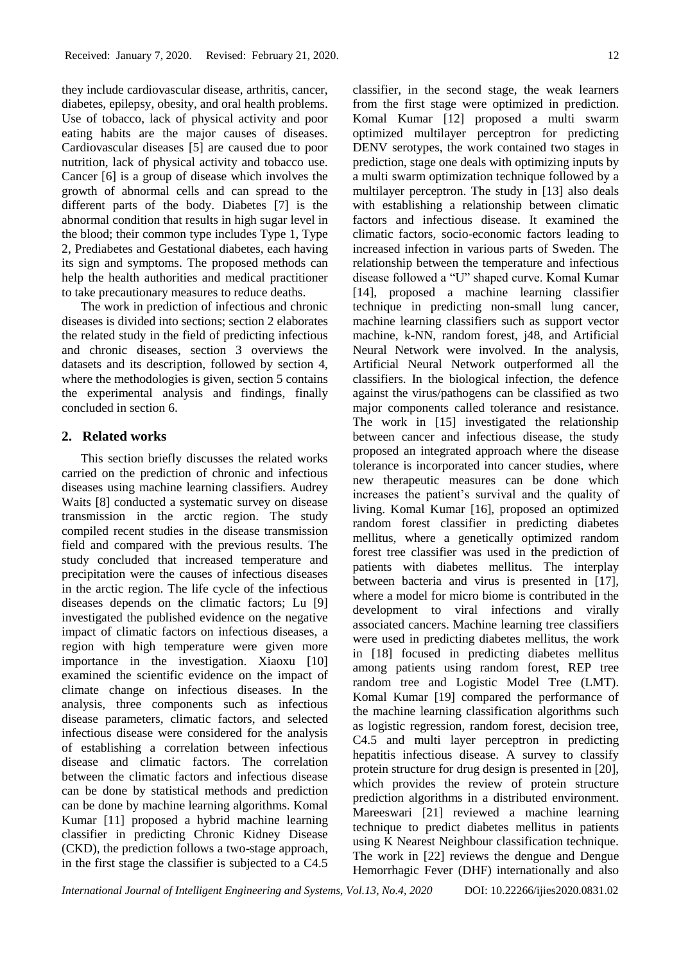they include cardiovascular disease, arthritis, cancer, diabetes, epilepsy, obesity, and oral health problems. Use of tobacco, lack of physical activity and poor eating habits are the major causes of diseases. Cardiovascular diseases [5] are caused due to poor nutrition, lack of physical activity and tobacco use. Cancer [6] is a group of disease which involves the growth of abnormal cells and can spread to the different parts of the body. Diabetes [7] is the abnormal condition that results in high sugar level in the blood; their common type includes Type 1, Type 2, Prediabetes and Gestational diabetes, each having its sign and symptoms. The proposed methods can help the health authorities and medical practitioner to take precautionary measures to reduce deaths.

The work in prediction of infectious and chronic diseases is divided into sections; section 2 elaborates the related study in the field of predicting infectious and chronic diseases, section 3 overviews the datasets and its description, followed by section 4, where the methodologies is given, section 5 contains the experimental analysis and findings, finally concluded in section 6.

## **2. Related works**

This section briefly discusses the related works carried on the prediction of chronic and infectious diseases using machine learning classifiers. Audrey Waits [8] conducted a systematic survey on disease transmission in the arctic region. The study compiled recent studies in the disease transmission field and compared with the previous results. The study concluded that increased temperature and precipitation were the causes of infectious diseases in the arctic region. The life cycle of the infectious diseases depends on the climatic factors; Lu [9] investigated the published evidence on the negative impact of climatic factors on infectious diseases, a region with high temperature were given more importance in the investigation. Xiaoxu [10] examined the scientific evidence on the impact of climate change on infectious diseases. In the analysis, three components such as infectious disease parameters, climatic factors, and selected infectious disease were considered for the analysis of establishing a correlation between infectious disease and climatic factors. The correlation between the climatic factors and infectious disease can be done by statistical methods and prediction can be done by machine learning algorithms. Komal Kumar [11] proposed a hybrid machine learning classifier in predicting Chronic Kidney Disease (CKD), the prediction follows a two-stage approach, in the first stage the classifier is subjected to a C4.5

classifier, in the second stage, the weak learners from the first stage were optimized in prediction. Komal Kumar [12] proposed a multi swarm optimized multilayer perceptron for predicting DENV serotypes, the work contained two stages in prediction, stage one deals with optimizing inputs by a multi swarm optimization technique followed by a multilayer perceptron. The study in [13] also deals with establishing a relationship between climatic factors and infectious disease. It examined the climatic factors, socio-economic factors leading to increased infection in various parts of Sweden. The relationship between the temperature and infectious disease followed a "U" shaped curve. Komal Kumar [14], proposed a machine learning classifier technique in predicting non-small lung cancer, machine learning classifiers such as support vector machine, k-NN, random forest, j48, and Artificial Neural Network were involved. In the analysis, Artificial Neural Network outperformed all the classifiers. In the biological infection, the defence against the virus/pathogens can be classified as two major components called tolerance and resistance. The work in [15] investigated the relationship between cancer and infectious disease, the study proposed an integrated approach where the disease tolerance is incorporated into cancer studies, where new therapeutic measures can be done which increases the patient's survival and the quality of living. Komal Kumar [16], proposed an optimized random forest classifier in predicting diabetes mellitus, where a genetically optimized random forest tree classifier was used in the prediction of patients with diabetes mellitus. The interplay between bacteria and virus is presented in [17], where a model for micro biome is contributed in the development to viral infections and virally associated cancers. Machine learning tree classifiers were used in predicting diabetes mellitus, the work in [18] focused in predicting diabetes mellitus among patients using random forest, REP tree random tree and Logistic Model Tree (LMT). Komal Kumar [19] compared the performance of the machine learning classification algorithms such as logistic regression, random forest, decision tree, C4.5 and multi layer perceptron in predicting hepatitis infectious disease. A survey to classify protein structure for drug design is presented in [20], which provides the review of protein structure prediction algorithms in a distributed environment. Mareeswari [21] reviewed a machine learning technique to predict diabetes mellitus in patients using K Nearest Neighbour classification technique. The work in [22] reviews the dengue and Dengue Hemorrhagic Fever (DHF) internationally and also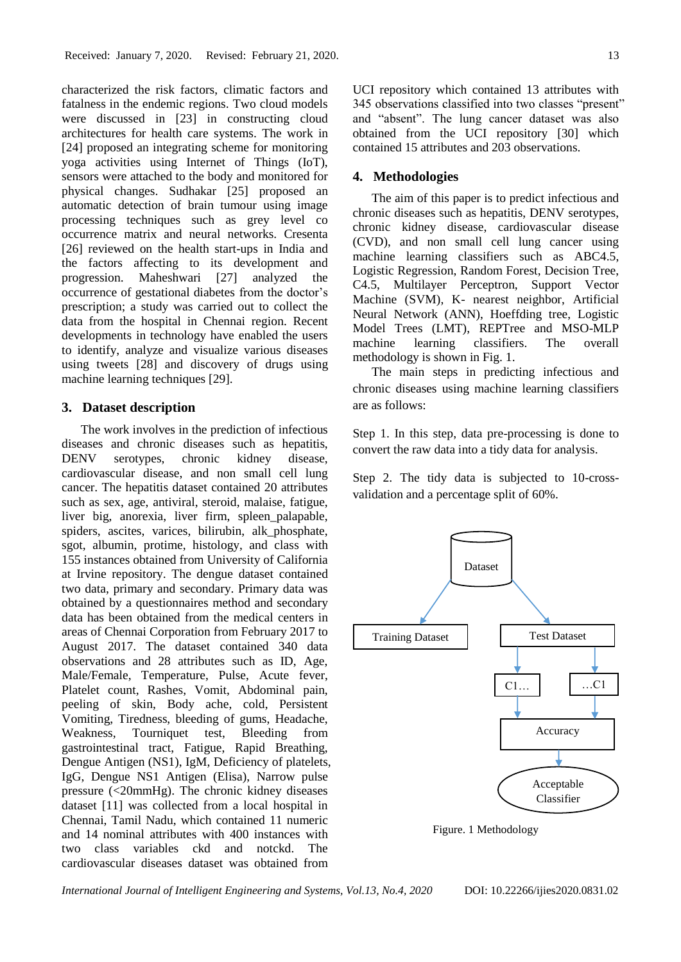characterized the risk factors, climatic factors and fatalness in the endemic regions. Two cloud models were discussed in [23] in constructing cloud architectures for health care systems. The work in [24] proposed an integrating scheme for monitoring yoga activities using Internet of Things (IoT), sensors were attached to the body and monitored for physical changes. Sudhakar [25] proposed an automatic detection of brain tumour using image processing techniques such as grey level co occurrence matrix and neural networks. Cresenta [26] reviewed on the health start-ups in India and the factors affecting to its development and progression. Maheshwari [27] analyzed the occurrence of gestational diabetes from the doctor's prescription; a study was carried out to collect the data from the hospital in Chennai region. Recent developments in technology have enabled the users to identify, analyze and visualize various diseases using tweets [28] and discovery of drugs using machine learning techniques [29].

#### **3. Dataset description**

The work involves in the prediction of infectious diseases and chronic diseases such as hepatitis, DENV serotypes, chronic kidney disease, cardiovascular disease, and non small cell lung cancer. The hepatitis dataset contained 20 attributes such as sex, age, antiviral, steroid, malaise, fatigue, liver big, anorexia, liver firm, spleen\_palapable, spiders, ascites, varices, bilirubin, alk\_phosphate, sgot, albumin, protime, histology, and class with 155 instances obtained from University of California at Irvine repository. The dengue dataset contained two data, primary and secondary. Primary data was obtained by a questionnaires method and secondary data has been obtained from the medical centers in areas of Chennai Corporation from February 2017 to August 2017. The dataset contained 340 data observations and 28 attributes such as ID, Age, Male/Female, Temperature, Pulse, Acute fever, Platelet count, Rashes, Vomit, Abdominal pain, peeling of skin, Body ache, cold, Persistent Vomiting, Tiredness, bleeding of gums, Headache, Weakness, Tourniquet test, Bleeding from gastrointestinal tract, Fatigue, Rapid Breathing, Dengue Antigen (NS1), IgM, Deficiency of platelets, IgG, Dengue NS1 Antigen (Elisa), Narrow pulse pressure (<20mmHg). The chronic kidney diseases dataset [11] was collected from a local hospital in Chennai, Tamil Nadu, which contained 11 numeric and 14 nominal attributes with 400 instances with two class variables ckd and notckd. The cardiovascular diseases dataset was obtained from

UCI repository which contained 13 attributes with

345 observations classified into two classes "present" and "absent". The lung cancer dataset was also obtained from the UCI repository [30] which contained 15 attributes and 203 observations.

#### **4. Methodologies**

The aim of this paper is to predict infectious and chronic diseases such as hepatitis, DENV serotypes, chronic kidney disease, cardiovascular disease (CVD), and non small cell lung cancer using machine learning classifiers such as ABC4.5, Logistic Regression, Random Forest, Decision Tree, C4.5, Multilayer Perceptron, Support Vector Machine (SVM), K- nearest neighbor, Artificial Neural Network (ANN), Hoeffding tree, Logistic Model Trees (LMT), REPTree and MSO-MLP machine learning classifiers. The overall methodology is shown in Fig. 1.

The main steps in predicting infectious and chronic diseases using machine learning classifiers are as follows:

Step 1. In this step, data pre-processing is done to convert the raw data into a tidy data for analysis.

Step 2. The tidy data is subjected to 10-crossvalidation and a percentage split of 60%.



Figure. 1 Methodology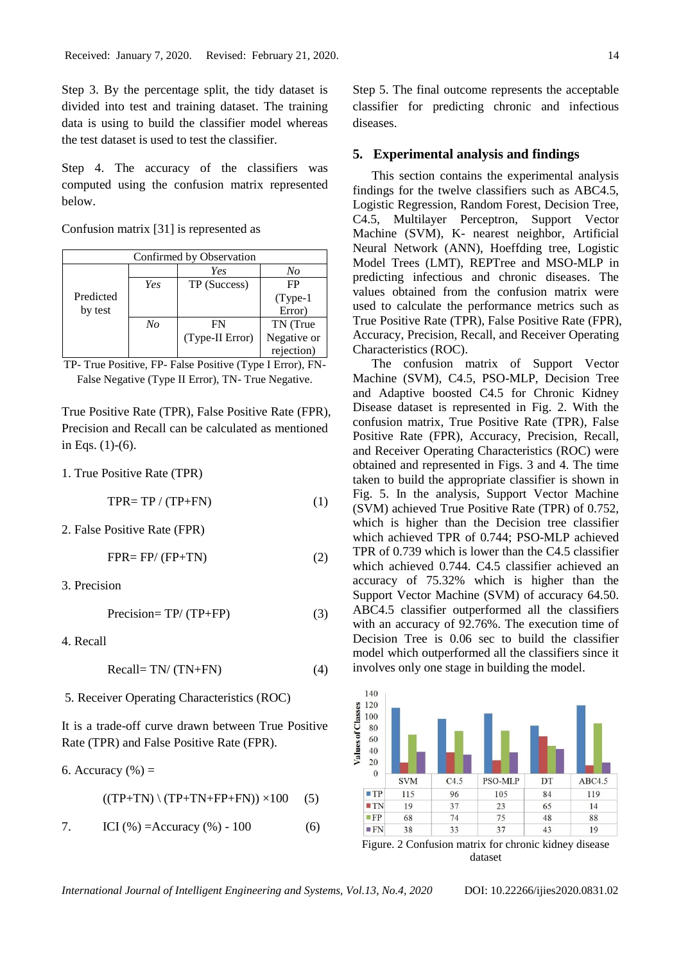Step 3. By the percentage split, the tidy dataset is divided into test and training dataset. The training data is using to build the classifier model whereas the test dataset is used to test the classifier.

Step 4. The accuracy of the classifiers was computed using the confusion matrix represented below.

Confusion matrix [31] is represented as

| Confirmed by Observation |     |                 |             |
|--------------------------|-----|-----------------|-------------|
|                          |     | Yes             | No          |
|                          | Yes | TP (Success)    | FP          |
| Predicted                |     |                 | $(Type-1)$  |
| by test                  |     |                 | Error)      |
|                          | No  | FN              | TN (True    |
|                          |     | (Type-II Error) | Negative or |
|                          |     |                 | rejection)  |

TP- True Positive, FP- False Positive (Type I Error), FN-False Negative (Type II Error), TN- True Negative.

True Positive Rate (TPR), False Positive Rate (FPR), Precision and Recall can be calculated as mentioned in Eqs. (1)-(6).

1. True Positive Rate (TPR)

$$
TPR = TP / (TP + FN)
$$
 (1)

2. False Positive Rate (FPR)

$$
FPR = FP/(FP + TN)
$$
 (2)

3. Precision

$$
Precision = TP/(TP + FP)
$$
 (3)

4. Recall

$$
Recall = TN/(TN+FN)
$$
 (4)

5. Receiver Operating Characteristics (ROC)

It is a trade-off curve drawn between True Positive Rate (TPR) and False Positive Rate (FPR).

6. Accuracy 
$$
(\%) =
$$

$$
((TP+TN) \setminus (TP+TN+FP+FN)) \times 100 \qquad (5)
$$

7. ICI 
$$
(\%)
$$
 =Accuracy  $(\%)$  - 100 (6)

Step 5. The final outcome represents the acceptable classifier for predicting chronic and infectious diseases.

#### **5. Experimental analysis and findings**

This section contains the experimental analysis findings for the twelve classifiers such as ABC4.5, Logistic Regression, Random Forest, Decision Tree, C4.5, Multilayer Perceptron, Support Vector Machine (SVM), K- nearest neighbor, Artificial Neural Network (ANN), Hoeffding tree, Logistic Model Trees (LMT), REPTree and MSO-MLP in predicting infectious and chronic diseases. The values obtained from the confusion matrix were used to calculate the performance metrics such as True Positive Rate (TPR), False Positive Rate (FPR), Accuracy, Precision, Recall, and Receiver Operating Characteristics (ROC).

The confusion matrix of Support Vector Machine (SVM), C4.5, PSO-MLP, Decision Tree and Adaptive boosted C4.5 for Chronic Kidney Disease dataset is represented in Fig. 2. With the confusion matrix, True Positive Rate (TPR), False Positive Rate (FPR), Accuracy, Precision, Recall, and Receiver Operating Characteristics (ROC) were obtained and represented in Figs. 3 and 4. The time taken to build the appropriate classifier is shown in Fig. 5. In the analysis, Support Vector Machine (SVM) achieved True Positive Rate (TPR) of 0.752, which is higher than the Decision tree classifier which achieved TPR of 0.744; PSO-MLP achieved TPR of 0.739 which is lower than the C4.5 classifier which achieved 0.744. C4.5 classifier achieved an accuracy of 75.32% which is higher than the Support Vector Machine (SVM) of accuracy 64.50. ABC4.5 classifier outperformed all the classifiers with an accuracy of 92.76%. The execution time of Decision Tree is 0.06 sec to build the classifier model which outperformed all the classifiers since it involves only one stage in building the model.



dataset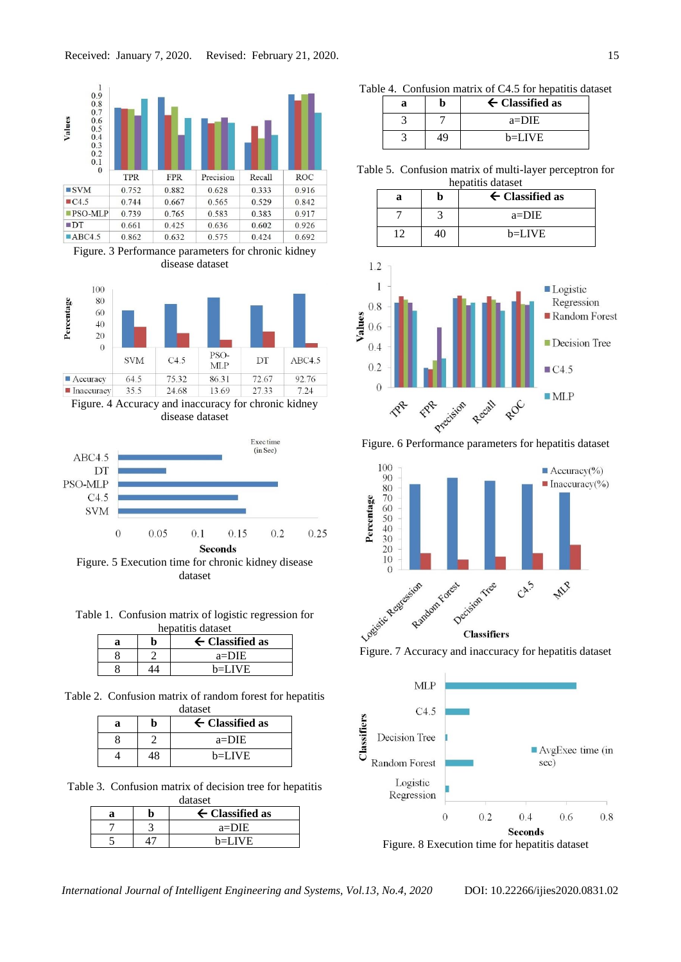





Figure. 4 Accuracy and inaccuracy for chronic kidney disease dataset



Figure. 5 Execution time for chronic kidney disease dataset

| Table 1. Confusion matrix of logistic regression for |  |
|------------------------------------------------------|--|
| hepatitis dataset                                    |  |

|  | $\leftarrow$ Classified as |
|--|----------------------------|
|  | $a = DIE$                  |
|  | b≡LIVE                     |

Table 2. Confusion matrix of random forest for hepatitis

| dataset |    |                            |  |
|---------|----|----------------------------|--|
| a       |    | $\leftarrow$ Classified as |  |
|         |    | $a = DIE$                  |  |
|         | 18 | b=LIVE                     |  |

Table 3. Confusion matrix of decision tree for hepatitis dataset

| $\leftarrow$ Classified as |           |  |
|----------------------------|-----------|--|
|                            | $a = DIE$ |  |
|                            | $b=LIVE$  |  |

Table 4. Confusion matrix of C4.5 for hepatitis dataset

| а |    | $\leftarrow$ Classified as |
|---|----|----------------------------|
|   |    | $a = DIE$                  |
|   | 49 | $b=LIVE$                   |

Table 5. Confusion matrix of multi-layer perceptron for hepatitis dataset

| а | $\leftarrow$ Classified as |
|---|----------------------------|
|   | $a = DIE$                  |
|   | $b=LIVE$                   |





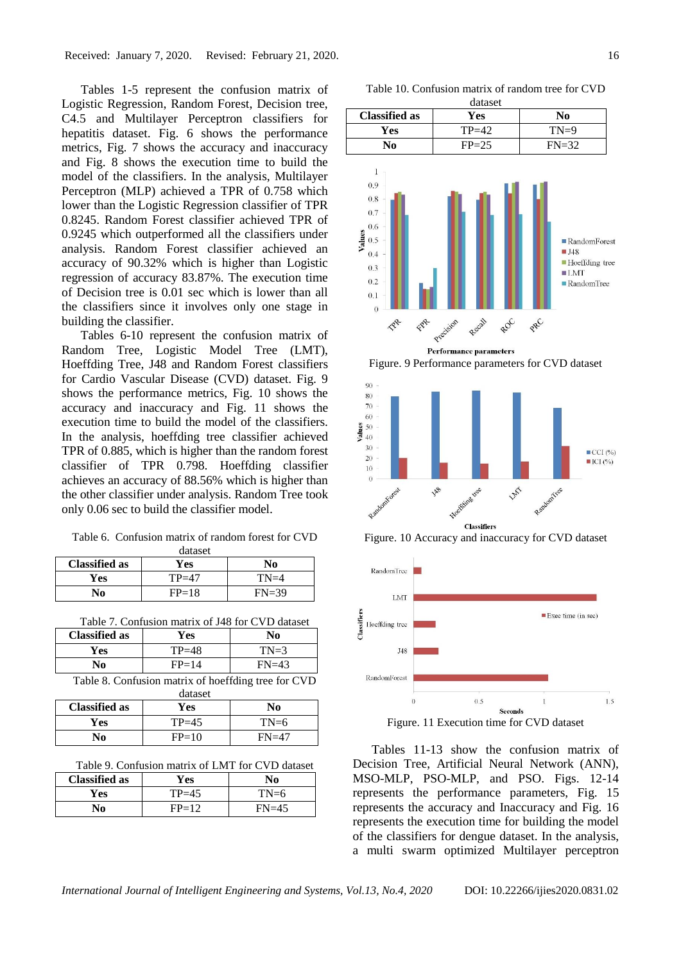Tables 1-5 represent the confusion matrix of Logistic Regression, Random Forest, Decision tree, C4.5 and Multilayer Perceptron classifiers for hepatitis dataset. Fig. 6 shows the performance metrics, Fig. 7 shows the accuracy and inaccuracy and Fig. 8 shows the execution time to build the model of the classifiers. In the analysis, Multilayer Perceptron (MLP) achieved a TPR of 0.758 which lower than the Logistic Regression classifier of TPR 0.8245. Random Forest classifier achieved TPR of 0.9245 which outperformed all the classifiers under analysis. Random Forest classifier achieved an accuracy of 90.32% which is higher than Logistic regression of accuracy 83.87%. The execution time of Decision tree is 0.01 sec which is lower than all the classifiers since it involves only one stage in building the classifier.

Tables 6-10 represent the confusion matrix of Random Tree, Logistic Model Tree (LMT), Hoeffding Tree, J48 and Random Forest classifiers for Cardio Vascular Disease (CVD) dataset. Fig. 9 shows the performance metrics, Fig. 10 shows the accuracy and inaccuracy and Fig. 11 shows the execution time to build the model of the classifiers. In the analysis, hoeffding tree classifier achieved TPR of 0.885, which is higher than the random forest classifier of TPR 0.798. Hoeffding classifier achieves an accuracy of 88.56% which is higher than the other classifier under analysis. Random Tree took only 0.06 sec to build the classifier model.

Table 6. Confusion matrix of random forest for CVD

| dataset              |         |         |  |
|----------------------|---------|---------|--|
| <b>Classified as</b> | Yes     | No      |  |
| Yes                  | $TP=47$ | $TN=4$  |  |
| No                   | $FP=18$ | $FN=39$ |  |

| Table 7. Confusion matrix of J48 for CVD dataset |  |  |
|--------------------------------------------------|--|--|
|--------------------------------------------------|--|--|

| <b>Classified as</b> | Yes       | No      |
|----------------------|-----------|---------|
| <b>Yes</b>           | $TP = 48$ | $TN=3$  |
| No                   | $FP=14$   | $FN=43$ |

|  |         | Table 8. Confusion matrix of hoeffding tree for CVD |  |
|--|---------|-----------------------------------------------------|--|
|  | dataset |                                                     |  |

| <b>Classified as</b> | Yes     | No      |
|----------------------|---------|---------|
| Yes                  | $TP=45$ | $TN=6$  |
| No                   | $FP=10$ | $FN=47$ |

Table 9. Confusion matrix of LMT for CVD dataset

| <b>Classified as</b> | Yes       | No.     |
|----------------------|-----------|---------|
| Yes                  | $TP = 45$ | $TN=6$  |
| Nо                   | $FP=12$   | $FN=45$ |

Table 10. Confusion matrix of random tree for CVD





FRE

 $0.1$  $\overline{0}$ 

TRA

Figure. 9 Performance parameters for CVD dataset

ROC

PRC



Figure. 10 Accuracy and inaccuracy for CVD dataset



Figure. 11 Execution time for CVD dataset

Tables 11-13 show the confusion matrix of Decision Tree, Artificial Neural Network (ANN), MSO-MLP, PSO-MLP, and PSO. Figs. 12-14 represents the performance parameters, Fig. 15 represents the accuracy and Inaccuracy and Fig. 16 represents the execution time for building the model of the classifiers for dengue dataset. In the analysis, a multi swarm optimized Multilayer perceptron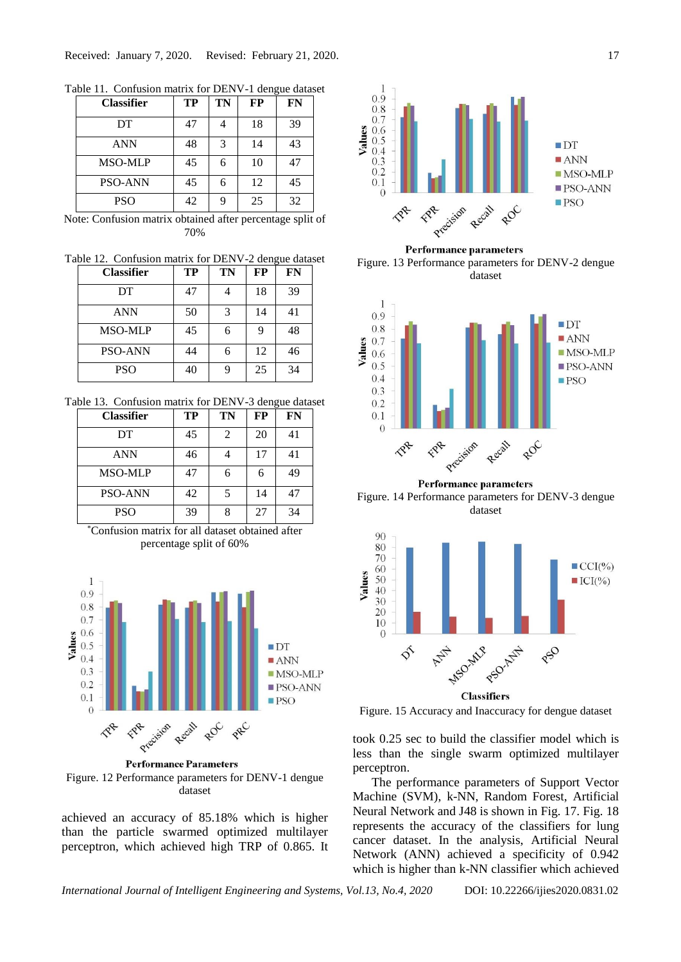| <b>Classifier</b> | TP | TN | FP | FN |
|-------------------|----|----|----|----|
| DT                | 47 |    | 18 | 39 |
| <b>ANN</b>        | 48 | 3  | 14 | 43 |
| <b>MSO-MLP</b>    | 45 | 6  | 10 | 47 |
| <b>PSO-ANN</b>    | 45 | 6  | 12 | 45 |
| <b>PSO</b>        | 42 | 9  | 25 | 32 |

Table 11. Confusion matrix for DENV-1 dengue dataset

Note: Confusion matrix obtained after percentage split of 70%

Table 12. Confusion matrix for DENV-2 dengue dataset

| <b>Classifier</b> | TP | TN | FP | <b>FN</b> |
|-------------------|----|----|----|-----------|
| DT                | 47 |    | 18 | 39        |
| <b>ANN</b>        | 50 | 3  | 14 | 41        |
| <b>MSO-MLP</b>    | 45 | 6  | 9  | 48        |
| <b>PSO-ANN</b>    | 44 | 6  | 12 | 46        |
| <b>PSO</b>        | 40 |    | 25 | 34        |

Table 13. Confusion matrix for DENV-3 dengue dataset

| <b>Classifier</b> | <b>TP</b> | <b>TN</b> | <b>FP</b> | FN |
|-------------------|-----------|-----------|-----------|----|
| DT                | 45        | 2         | 20        | 41 |
| <b>ANN</b>        | 46        |           | 17        | 41 |
| <b>MSO-MLP</b>    | 47        | 6         | 6         | 49 |
| <b>PSO-ANN</b>    | 42        | 5         | 14        | 47 |
| <b>PSO</b>        | 39        | 8         | 27        | 34 |





**Performance Parameters** Figure. 12 Performance parameters for DENV-1 dengue dataset

achieved an accuracy of 85.18% which is higher than the particle swarmed optimized multilayer perceptron, which achieved high TRP of 0.865. It



**Performance parameters** 

Figure. 13 Performance parameters for DENV-2 dengue dataset



**Performance parameters** Figure. 14 Performance parameters for DENV-3 dengue dataset



Figure. 15 Accuracy and Inaccuracy for dengue dataset

took 0.25 sec to build the classifier model which is less than the single swarm optimized multilayer perceptron.

The performance parameters of Support Vector Machine (SVM), k-NN, Random Forest, Artificial Neural Network and J48 is shown in Fig. 17. Fig. 18 represents the accuracy of the classifiers for lung cancer dataset. In the analysis, Artificial Neural Network (ANN) achieved a specificity of 0.942 which is higher than k-NN classifier which achieved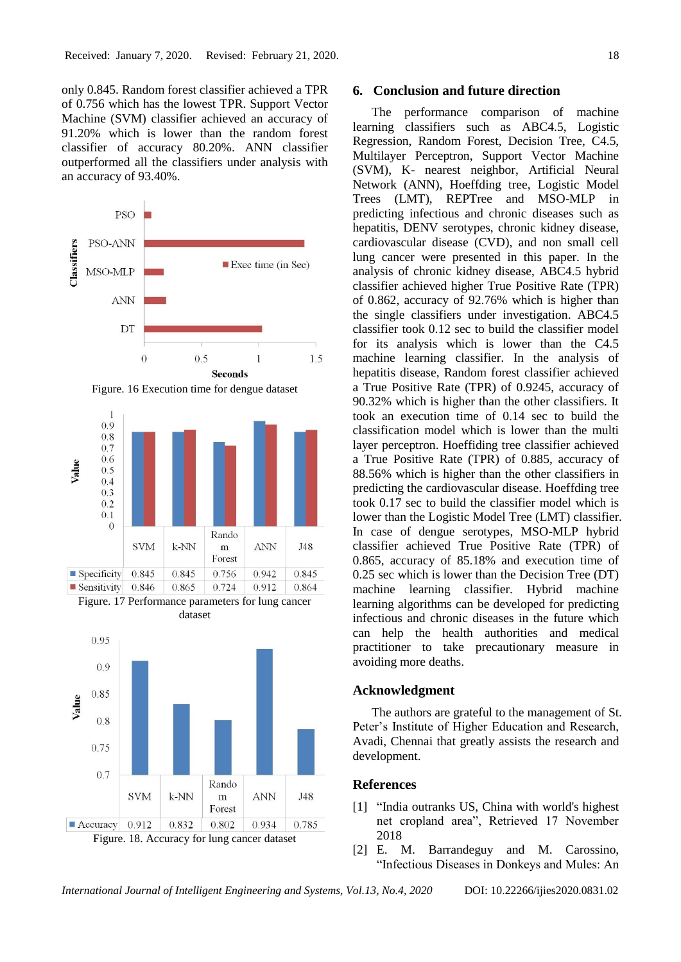only 0.845. Random forest classifier achieved a TPR of 0.756 which has the lowest TPR. Support Vector Machine (SVM) classifier achieved an accuracy of 91.20% which is lower than the random forest classifier of accuracy 80.20%. ANN classifier outperformed all the classifiers under analysis with an accuracy of 93.40%.







## **6. Conclusion and future direction**

The performance comparison of machine learning classifiers such as ABC4.5, Logistic Regression, Random Forest, Decision Tree, C4.5, Multilayer Perceptron, Support Vector Machine (SVM), K- nearest neighbor, Artificial Neural Network (ANN), Hoeffding tree, Logistic Model Trees (LMT), REPTree and MSO-MLP in predicting infectious and chronic diseases such as hepatitis, DENV serotypes, chronic kidney disease, cardiovascular disease (CVD), and non small cell lung cancer were presented in this paper. In the analysis of chronic kidney disease, ABC4.5 hybrid classifier achieved higher True Positive Rate (TPR) of 0.862, accuracy of 92.76% which is higher than the single classifiers under investigation. ABC4.5 classifier took 0.12 sec to build the classifier model for its analysis which is lower than the C4.5 machine learning classifier. In the analysis of hepatitis disease, Random forest classifier achieved a True Positive Rate (TPR) of 0.9245, accuracy of 90.32% which is higher than the other classifiers. It took an execution time of 0.14 sec to build the classification model which is lower than the multi layer perceptron. Hoeffiding tree classifier achieved a True Positive Rate (TPR) of 0.885, accuracy of 88.56% which is higher than the other classifiers in predicting the cardiovascular disease. Hoeffding tree took 0.17 sec to build the classifier model which is lower than the Logistic Model Tree (LMT) classifier. In case of dengue serotypes, MSO-MLP hybrid classifier achieved True Positive Rate (TPR) of 0.865, accuracy of 85.18% and execution time of 0.25 sec which is lower than the Decision Tree (DT) machine learning classifier. Hybrid machine learning algorithms can be developed for predicting infectious and chronic diseases in the future which can help the health authorities and medical practitioner to take precautionary measure in avoiding more deaths.

#### **Acknowledgment**

The authors are grateful to the management of St. Peter's Institute of Higher Education and Research, Avadi, Chennai that greatly assists the research and development.

#### **References**

- [1] "India outranks US, China with world's highest net cropland area", Retrieved 17 November 2018
- [2] E. M. Barrandeguy and M. Carossino, "Infectious Diseases in Donkeys and Mules: An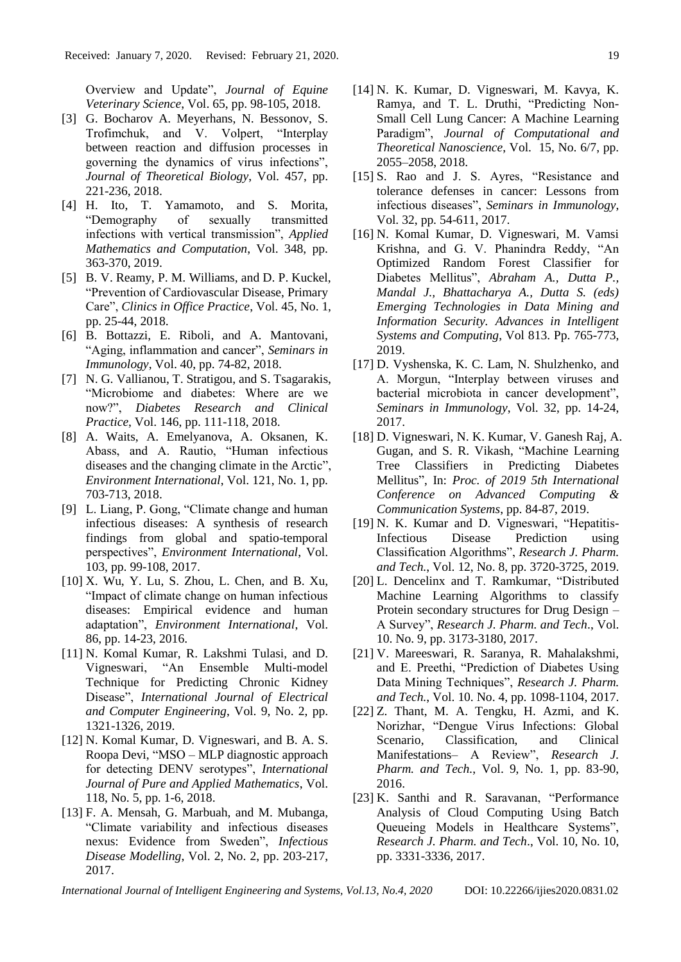Overview and Update", *Journal of Equine Veterinary Science*, Vol. 65, pp. 98-105, 2018.

- [3] G. Bocharov A. Meyerhans, N. Bessonov, S. Trofimchuk, and V. Volpert, "Interplay between reaction and diffusion processes in governing the dynamics of virus infections", *Journal of Theoretical Biology*, Vol. 457, pp. 221-236, 2018.
- [4] H. Ito, T. Yamamoto, and S. Morita, "Demography of sexually transmitted infections with vertical transmission", *Applied Mathematics and Computation*, Vol. 348, pp. 363-370, 2019.
- [5] B. V. Reamy, P. M. Williams, and D. P. Kuckel, "Prevention of Cardiovascular Disease, Primary Care", *Clinics in Office Practice*, Vol. 45, No. 1, pp. 25-44, 2018.
- [6] B. Bottazzi, E. Riboli, and A. Mantovani, "Aging, inflammation and cancer", *Seminars in Immunology*, Vol. 40, pp. 74-82, 2018.
- [7] N. G. Vallianou, T. Stratigou, and S. Tsagarakis, "Microbiome and diabetes: Where are we now?", *Diabetes Research and Clinical Practice*, Vol. 146, pp. 111-118, 2018.
- [8] A. Waits, A. Emelyanova, A. Oksanen, K. Abass, and A. Rautio, "Human infectious diseases and the changing climate in the Arctic", *Environment International*, Vol. 121, No. 1, pp. 703-713, 2018.
- [9] L. Liang, P. Gong, "Climate change and human infectious diseases: A synthesis of research findings from global and spatio-temporal perspectives", *Environment International*, Vol. 103, pp. 99-108, 2017.
- [10] X. Wu, Y. Lu, S. Zhou, L. Chen, and B. Xu, "Impact of climate change on human infectious diseases: Empirical evidence and human adaptation", *Environment International*, Vol. 86, pp. 14-23, 2016.
- [11] N. Komal Kumar, R. Lakshmi Tulasi, and D. Vigneswari, "An Ensemble Multi-model Technique for Predicting Chronic Kidney Disease", *International Journal of Electrical and Computer Engineering*, Vol. 9, No. 2, pp. 1321-1326, 2019.
- [12] N. Komal Kumar, D. Vigneswari, and B. A. S. Roopa Devi, "MSO – MLP diagnostic approach for detecting DENV serotypes", *International Journal of Pure and Applied Mathematics*, Vol. 118, No. 5, pp. 1-6, 2018.
- [13] F. A. Mensah, G. Marbuah, and M. Mubanga, "Climate variability and infectious diseases nexus: Evidence from Sweden", *Infectious Disease Modelling*, Vol. 2, No. 2, pp. 203-217, 2017.
- [14] N. K. Kumar, D. Vigneswari, M. Kavya, K. Ramya, and T. L. Druthi, "Predicting Non-Small Cell Lung Cancer: A Machine Learning Paradigm", *Journal of Computational and Theoretical Nanoscience*, Vol. 15, No. 6/7, pp. 2055–2058, 2018.
- [15] S. Rao and J. S. Ayres, "Resistance and tolerance defenses in cancer: Lessons from infectious diseases", *Seminars in Immunology*, Vol. 32, pp. 54-611, 2017.
- [16] N. Komal Kumar, D. Vigneswari, M. Vamsi Krishna, and G. V. Phanindra Reddy, "An Optimized Random Forest Classifier for Diabetes Mellitus", *Abraham A., Dutta P., Mandal J., Bhattacharya A., Dutta S. (eds) Emerging Technologies in Data Mining and Information Security. Advances in Intelligent Systems and Computing*, Vol 813. Pp. 765-773, 2019.
- [17] D. Vyshenska, K. C. Lam, N. Shulzhenko, and A. Morgun, "Interplay between viruses and bacterial microbiota in cancer development", *Seminars in Immunology*, Vol. 32, pp. 14-24, 2017.
- [18] D. Vigneswari, N. K. Kumar, V. Ganesh Raj, A. Gugan, and S. R. Vikash, "Machine Learning Tree Classifiers in Predicting Diabetes Mellitus", In: *Proc. of 2019 5th International Conference on Advanced Computing & Communication Systems*, pp. 84-87, 2019.
- [19] N. K. Kumar and D. Vigneswari, "Hepatitis-Infectious Disease Prediction using Classification Algorithms", *Research J. Pharm. and Tech.*, Vol. 12, No. 8, pp. 3720-3725, 2019.
- [20] L. Dencelinx and T. Ramkumar, "Distributed Machine Learning Algorithms to classify Protein secondary structures for Drug Design – A Survey", *Research J. Pharm. and Tech*., Vol. 10. No. 9, pp. 3173-3180, 2017.
- [21] V. Mareeswari, R. Saranya, R. Mahalakshmi, and E. Preethi, "Prediction of Diabetes Using Data Mining Techniques", *Research J. Pharm. and Tech.*, Vol. 10. No. 4, pp. 1098-1104, 2017.
- [22] Z. Thant, M. A. Tengku, H. Azmi, and K. Norizhar, "Dengue Virus Infections: Global Scenario, Classification, and Clinical Manifestations– A Review", *Research J. Pharm. and Tech.*, Vol. 9, No. 1, pp. 83-90, 2016.
- [23] K. Santhi and R. Saravanan, "Performance Analysis of Cloud Computing Using Batch Queueing Models in Healthcare Systems", *Research J. Pharm. and Tech*., Vol. 10, No. 10, pp. 3331-3336, 2017.